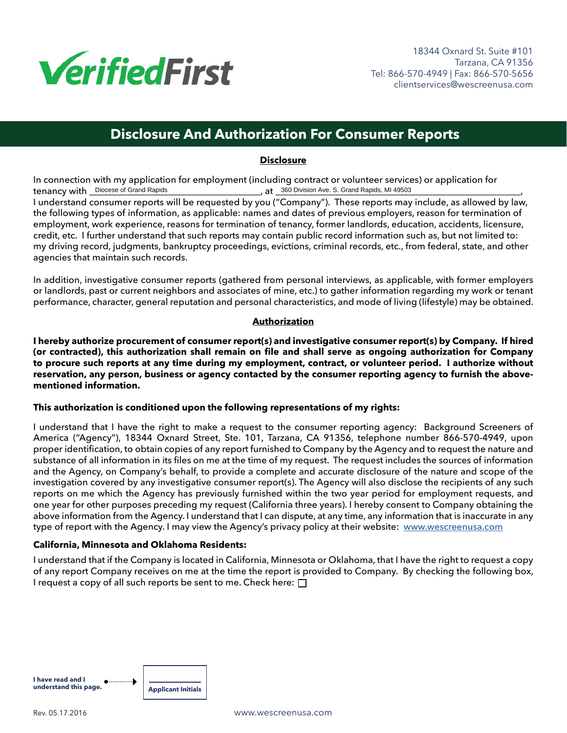

# **Disclosure And Authorization For Consumer Reports**

## **Disclosure**

In connection with my application for employment (including contract or volunteer services) or application for<br>tenancy with <u>Diocese of Grand Rapids</u><br>at 360 Division Ave. S. Grand Rapids, MI 49503 tenancy with \_\_\_\_\_\_\_\_\_\_\_\_\_\_\_\_\_\_\_\_\_\_\_\_\_\_\_\_\_\_\_\_\_\_\_\_\_, at \_\_\_\_\_\_\_\_\_\_\_\_\_\_\_\_\_\_\_\_\_\_\_\_\_\_\_\_\_\_\_\_\_\_\_\_\_\_\_\_\_\_\_\_\_\_\_\_\_\_\_\_\_, Diocese of Grand Rapids 360 Division Ave. S. Grand Rapids, MI 49503

I understand consumer reports will be requested by you ("Company"). These reports may include, as allowed by law, the following types of information, as applicable: names and dates of previous employers, reason for termination of employment, work experience, reasons for termination of tenancy, former landlords, education, accidents, licensure, credit, etc. I further understand that such reports may contain public record information such as, but not limited to: my driving record, judgments, bankruptcy proceedings, evictions, criminal records, etc., from federal, state, and other agencies that maintain such records.

In addition, investigative consumer reports (gathered from personal interviews, as applicable, with former employers or landlords, past or current neighbors and associates of mine, etc.) to gather information regarding my work or tenant performance, character, general reputation and personal characteristics, and mode of living (lifestyle) may be obtained.

## **Authorization**

**I hereby authorize procurement of consumer report(s) and investigative consumer report(s) by Company. If hired (or contracted), this authorization shall remain on file and shall serve as ongoing authorization for Company to procure such reports at any time during my employment, contract, or volunteer period. I authorize without reservation, any person, business or agency contacted by the consumer reporting agency to furnish the abovementioned information.**

## **This authorization is conditioned upon the following representations of my rights:**

I understand that I have the right to make a request to the consumer reporting agency: Background Screeners of America ("Agency"), 18344 Oxnard Street, Ste. 101, Tarzana, CA 91356, telephone number 866-570-4949, upon proper identification, to obtain copies of any report furnished to Company by the Agency and to request the nature and substance of all information in its files on me at the time of my request. The request includes the sources of information and the Agency, on Company's behalf, to provide a complete and accurate disclosure of the nature and scope of the investigation covered by any investigative consumer report(s). The Agency will also disclose the recipients of any such reports on me which the Agency has previously furnished within the two year period for employment requests, and one year for other purposes preceding my request (California three years). I hereby consent to Company obtaining the above information from the Agency. I understand that I can dispute, at any time, any information that is inaccurate in any type of report with the Agency. I may view the Agency's privacy policy at their website: www.wescreenusa.com

## **California, Minnesota and Oklahoma Residents:**

I understand that if the Company is located in California, Minnesota or Oklahoma, that I have the right to request a copy of any report Company receives on me at the time the report is provided to Company. By checking the following box, I request a copy of all such reports be sent to me. Check here:  $\Box$ 

| I have read and I<br>understand this page. | Applicant Initials |
|--------------------------------------------|--------------------|
|                                            |                    |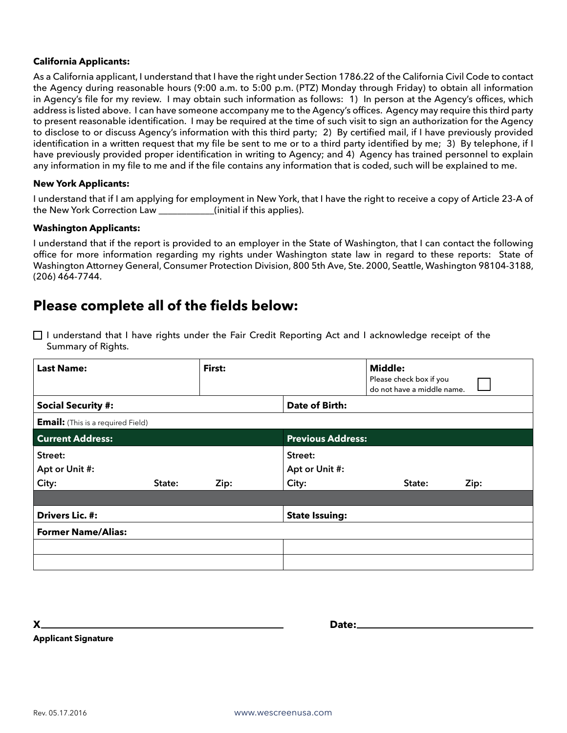#### **California Applicants:**

As a California applicant, I understand that I have the right under Section 1786.22 of the California Civil Code to contact the Agency during reasonable hours (9:00 a.m. to 5:00 p.m. (PTZ) Monday through Friday) to obtain all information in Agency's file for my review. I may obtain such information as follows: 1) In person at the Agency's offices, which address is listed above. I can have someone accompany me to the Agency's offices. Agency may require this third party to present reasonable identification. I may be required at the time of such visit to sign an authorization for the Agency to disclose to or discuss Agency's information with this third party; 2) By certified mail, if I have previously provided identification in a written request that my file be sent to me or to a third party identified by me; 3) By telephone, if I have previously provided proper identification in writing to Agency; and 4) Agency has trained personnel to explain any information in my file to me and if the file contains any information that is coded, such will be explained to me.

#### **New York Applicants:**

I understand that if I am applying for employment in New York, that I have the right to receive a copy of Article 23-A of the New York Correction Law \_\_\_\_\_\_\_\_\_(initial if this applies).

#### **Washington Applicants:**

I understand that if the report is provided to an employer in the State of Washington, that I can contact the following office for more information regarding my rights under Washington state law in regard to these reports: State of Washington Attorney General, Consumer Protection Division, 800 5th Ave, Ste. 2000, Seattle, Washington 98104-3188, (206) 464-7744.

## Please complete all of the fields below:

□ I understand that I have rights under the Fair Credit Reporting Act and I acknowledge receipt of the Summary of Rights.

| <b>Last Name:</b>                        |        | First: |                                    | <b>Middle:</b><br>Please check box if you<br>do not have a middle name. |      |  |
|------------------------------------------|--------|--------|------------------------------------|-------------------------------------------------------------------------|------|--|
| <b>Social Security #:</b>                |        |        | Date of Birth:                     |                                                                         |      |  |
| <b>Email:</b> (This is a required Field) |        |        |                                    |                                                                         |      |  |
| <b>Current Address:</b>                  |        |        | <b>Previous Address:</b>           |                                                                         |      |  |
| Street:<br>Apt or Unit #:<br>City:       | State: | Zip:   | Street:<br>Apt or Unit #:<br>City: | State:                                                                  | Zip: |  |
|                                          |        |        |                                    |                                                                         |      |  |
| <b>Drivers Lic. #:</b>                   |        |        | <b>State Issuing:</b>              |                                                                         |      |  |
| <b>Former Name/Alias:</b>                |        |        |                                    |                                                                         |      |  |
|                                          |        |        |                                    |                                                                         |      |  |
|                                          |        |        |                                    |                                                                         |      |  |

X.

Date:

**Applicant Signature**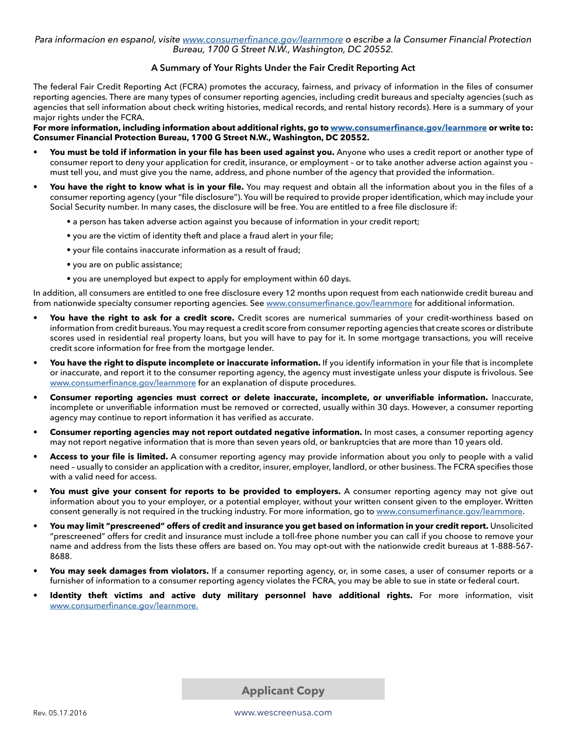Para informacion en espanol, visite www.consumerfinance.gov/learnmore o escribe a la Consumer Financial Protection Bureau, 1700 G Street N.W., Washington, DC 20552.

## A Summary of Your Rights Under the Fair Credit Reporting Act

The federal Fair Credit Reporting Act (FCRA) promotes the accuracy, fairness, and privacy of information in the files of consumer reporting agencies. There are many types of consumer reporting agencies, including credit bureaus and specialty agencies (such as agencies that sell information about check writing histories, medical records, and rental history records). Here is a summary of your major rights under the FCRA.

For more information, including information about additional rights, go to www.consumerfinance.gov/learnmore or write to: Consumer Financial Protection Bureau, 1700 G Street N.W., Washington, DC 20552.

- You must be told if information in your file has been used against you. Anyone who uses a credit report or another type of consumer report to deny your application for credit, insurance, or employment - or to take another adverse action against you must tell you, and must give you the name, address, and phone number of the agency that provided the information.
- You have the right to know what is in your file. You may request and obtain all the information about you in the files of a consumer reporting agency (your "file disclosure"). You will be required to provide proper identification, which may include your Social Security number. In many cases, the disclosure will be free. You are entitled to a free file disclosure if:
	- a person has taken adverse action against you because of information in your credit report;
	- you are the victim of identity theft and place a fraud alert in your file;
	- your file contains inaccurate information as a result of fraud;
	- you are on public assistance;
	- you are unemployed but expect to apply for employment within 60 days.

In addition, all consumers are entitled to one free disclosure every 12 months upon request from each nationwide credit bureau and from nationwide specialty consumer reporting agencies. See www.consumerfinance.gov/learnmore for additional information.

- You have the right to ask for a credit score. Credit scores are numerical summaries of your credit-worthiness based on information from credit bureaus. You may request a credit score from consumer reporting agencies that create scores or distribute scores used in residential real property loans, but you will have to pay for it. In some mortgage transactions, you will receive credit score information for free from the mortgage lender.
- You have the right to dispute incomplete or inaccurate information. If you identify information in your file that is incomplete or inaccurate, and report it to the consumer reporting agency, the agency must investigate unless your dispute is frivolous. See www.consumerfinance.gov/learnmore for an explanation of dispute procedures.
- Consumer reporting agencies must correct or delete inaccurate, incomplete, or unverifiable information. Inaccurate, incomplete or unverifiable information must be removed or corrected, usually within 30 days. However, a consumer reporting agency may continue to report information it has verified as accurate.
- Consumer reporting agencies may not report outdated negative information. In most cases, a consumer reporting agency may not report negative information that is more than seven years old, or bankruptcies that are more than 10 years old.
- Access to your file is limited. A consumer reporting agency may provide information about you only to people with a valid need - usually to consider an application with a creditor, insurer, employer, landlord, or other business. The FCRA specifies those with a valid need for access.
- You must give your consent for reports to be provided to employers. A consumer reporting agency may not give out information about you to your employer, or a potential employer, without your written consent given to the employer. Written consent generally is not required in the trucking industry. For more information, go to www.consumerfinance.gov/learnmore.
- You may limit "prescreened" offers of credit and insurance you get based on information in your credit report. Unsolicited "prescreened" offers for credit and insurance must include a toll-free phone number you can call if you choose to remove your name and address from the lists these offers are based on. You may opt-out with the nationwide credit bureaus at 1-888-567-8688.
- You may seek damages from violators. If a consumer reporting agency, or, in some cases, a user of consumer reports or a furnisher of information to a consumer reporting agency violates the FCRA, you may be able to sue in state or federal court.
- Identity theft victims and active duty military personnel have additional rights. For more information, visit www.consumerfinance.gov/learnmore.

**Applicant Copy** 

www.wescreenusa.com